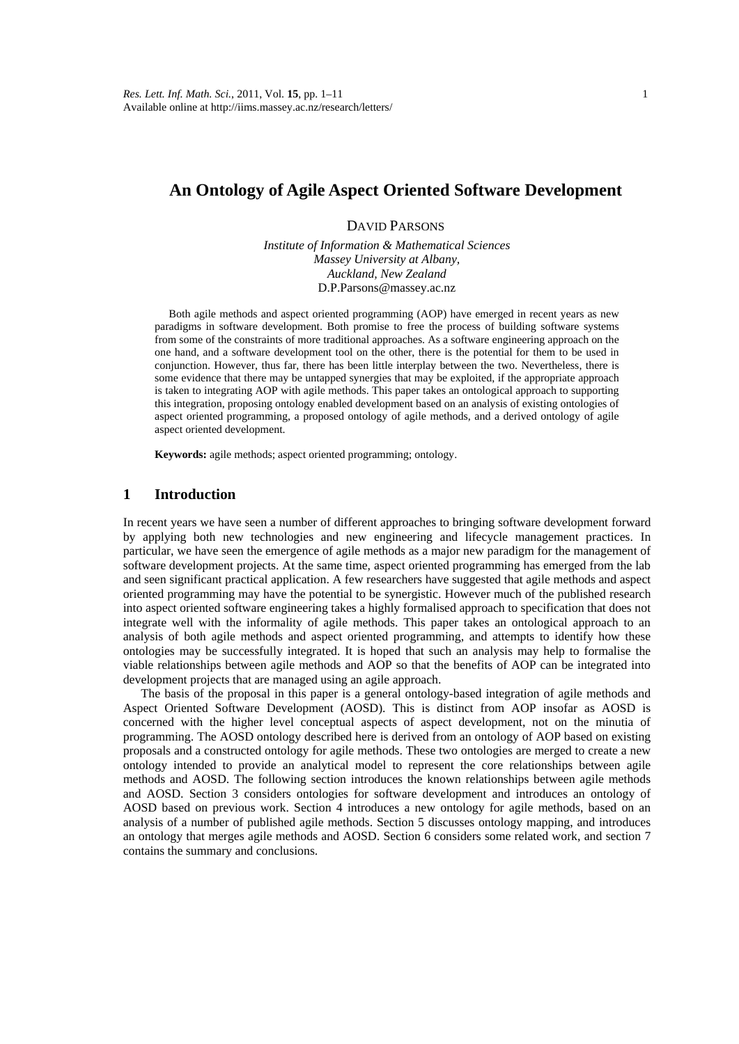# **An Ontology of Agile Aspect Oriented Software Development**

# DAVID PARSONS

*Institute of Information & Mathematical Sciences Massey University at Albany, Auckland, New Zealand*  D.P.Parsons@massey.ac.nz

Both agile methods and aspect oriented programming (AOP) have emerged in recent years as new paradigms in software development. Both promise to free the process of building software systems from some of the constraints of more traditional approaches. As a software engineering approach on the one hand, and a software development tool on the other, there is the potential for them to be used in conjunction. However, thus far, there has been little interplay between the two. Nevertheless, there is some evidence that there may be untapped synergies that may be exploited, if the appropriate approach is taken to integrating AOP with agile methods. This paper takes an ontological approach to supporting this integration, proposing ontology enabled development based on an analysis of existing ontologies of aspect oriented programming, a proposed ontology of agile methods, and a derived ontology of agile aspect oriented development.

**Keywords:** agile methods; aspect oriented programming; ontology.

#### **1 Introduction**

In recent years we have seen a number of different approaches to bringing software development forward by applying both new technologies and new engineering and lifecycle management practices. In particular, we have seen the emergence of agile methods as a major new paradigm for the management of software development projects. At the same time, aspect oriented programming has emerged from the lab and seen significant practical application. A few researchers have suggested that agile methods and aspect oriented programming may have the potential to be synergistic. However much of the published research into aspect oriented software engineering takes a highly formalised approach to specification that does not integrate well with the informality of agile methods. This paper takes an ontological approach to an analysis of both agile methods and aspect oriented programming, and attempts to identify how these ontologies may be successfully integrated. It is hoped that such an analysis may help to formalise the viable relationships between agile methods and AOP so that the benefits of AOP can be integrated into development projects that are managed using an agile approach.

The basis of the proposal in this paper is a general ontology-based integration of agile methods and Aspect Oriented Software Development (AOSD). This is distinct from AOP insofar as AOSD is concerned with the higher level conceptual aspects of aspect development, not on the minutia of programming. The AOSD ontology described here is derived from an ontology of AOP based on existing proposals and a constructed ontology for agile methods. These two ontologies are merged to create a new ontology intended to provide an analytical model to represent the core relationships between agile methods and AOSD. The following section introduces the known relationships between agile methods and AOSD. Section 3 considers ontologies for software development and introduces an ontology of AOSD based on previous work. Section 4 introduces a new ontology for agile methods, based on an analysis of a number of published agile methods. Section 5 discusses ontology mapping, and introduces an ontology that merges agile methods and AOSD. Section 6 considers some related work, and section 7 contains the summary and conclusions.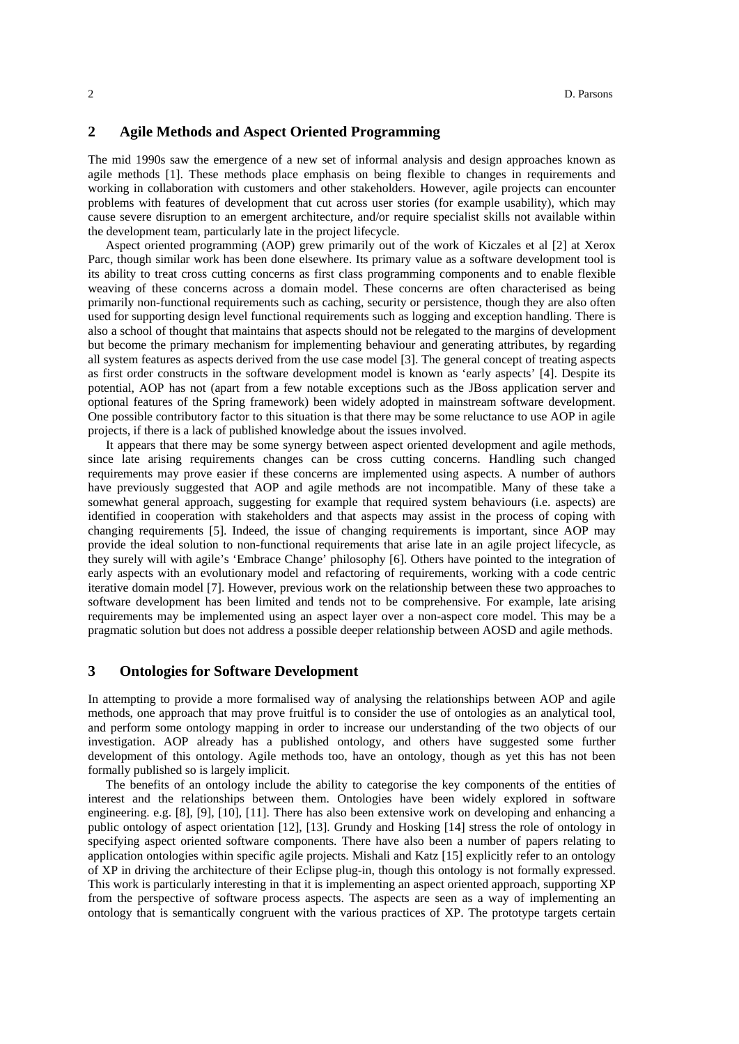## **2 Agile Methods and Aspect Oriented Programming**

The mid 1990s saw the emergence of a new set of informal analysis and design approaches known as agile methods [1]. These methods place emphasis on being flexible to changes in requirements and working in collaboration with customers and other stakeholders. However, agile projects can encounter problems with features of development that cut across user stories (for example usability), which may cause severe disruption to an emergent architecture, and/or require specialist skills not available within the development team, particularly late in the project lifecycle.

Aspect oriented programming (AOP) grew primarily out of the work of Kiczales et al [2] at Xerox Parc, though similar work has been done elsewhere. Its primary value as a software development tool is its ability to treat cross cutting concerns as first class programming components and to enable flexible weaving of these concerns across a domain model. These concerns are often characterised as being primarily non-functional requirements such as caching, security or persistence, though they are also often used for supporting design level functional requirements such as logging and exception handling. There is also a school of thought that maintains that aspects should not be relegated to the margins of development but become the primary mechanism for implementing behaviour and generating attributes, by regarding all system features as aspects derived from the use case model [3]. The general concept of treating aspects as first order constructs in the software development model is known as 'early aspects' [4]. Despite its potential, AOP has not (apart from a few notable exceptions such as the JBoss application server and optional features of the Spring framework) been widely adopted in mainstream software development. One possible contributory factor to this situation is that there may be some reluctance to use AOP in agile projects, if there is a lack of published knowledge about the issues involved.

It appears that there may be some synergy between aspect oriented development and agile methods, since late arising requirements changes can be cross cutting concerns. Handling such changed requirements may prove easier if these concerns are implemented using aspects. A number of authors have previously suggested that AOP and agile methods are not incompatible. Many of these take a somewhat general approach, suggesting for example that required system behaviours (i.e. aspects) are identified in cooperation with stakeholders and that aspects may assist in the process of coping with changing requirements [5]. Indeed, the issue of changing requirements is important, since AOP may provide the ideal solution to non-functional requirements that arise late in an agile project lifecycle, as they surely will with agile's 'Embrace Change' philosophy [6]. Others have pointed to the integration of early aspects with an evolutionary model and refactoring of requirements, working with a code centric iterative domain model [7]. However, previous work on the relationship between these two approaches to software development has been limited and tends not to be comprehensive. For example, late arising requirements may be implemented using an aspect layer over a non-aspect core model. This may be a pragmatic solution but does not address a possible deeper relationship between AOSD and agile methods.

#### **3 Ontologies for Software Development**

In attempting to provide a more formalised way of analysing the relationships between AOP and agile methods, one approach that may prove fruitful is to consider the use of ontologies as an analytical tool, and perform some ontology mapping in order to increase our understanding of the two objects of our investigation. AOP already has a published ontology, and others have suggested some further development of this ontology. Agile methods too, have an ontology, though as yet this has not been formally published so is largely implicit.

The benefits of an ontology include the ability to categorise the key components of the entities of interest and the relationships between them. Ontologies have been widely explored in software engineering. e.g. [8], [9], [10], [11]. There has also been extensive work on developing and enhancing a public ontology of aspect orientation [12], [13]. Grundy and Hosking [14] stress the role of ontology in specifying aspect oriented software components. There have also been a number of papers relating to application ontologies within specific agile projects. Mishali and Katz [15] explicitly refer to an ontology of XP in driving the architecture of their Eclipse plug-in, though this ontology is not formally expressed. This work is particularly interesting in that it is implementing an aspect oriented approach, supporting XP from the perspective of software process aspects. The aspects are seen as a way of implementing an ontology that is semantically congruent with the various practices of XP. The prototype targets certain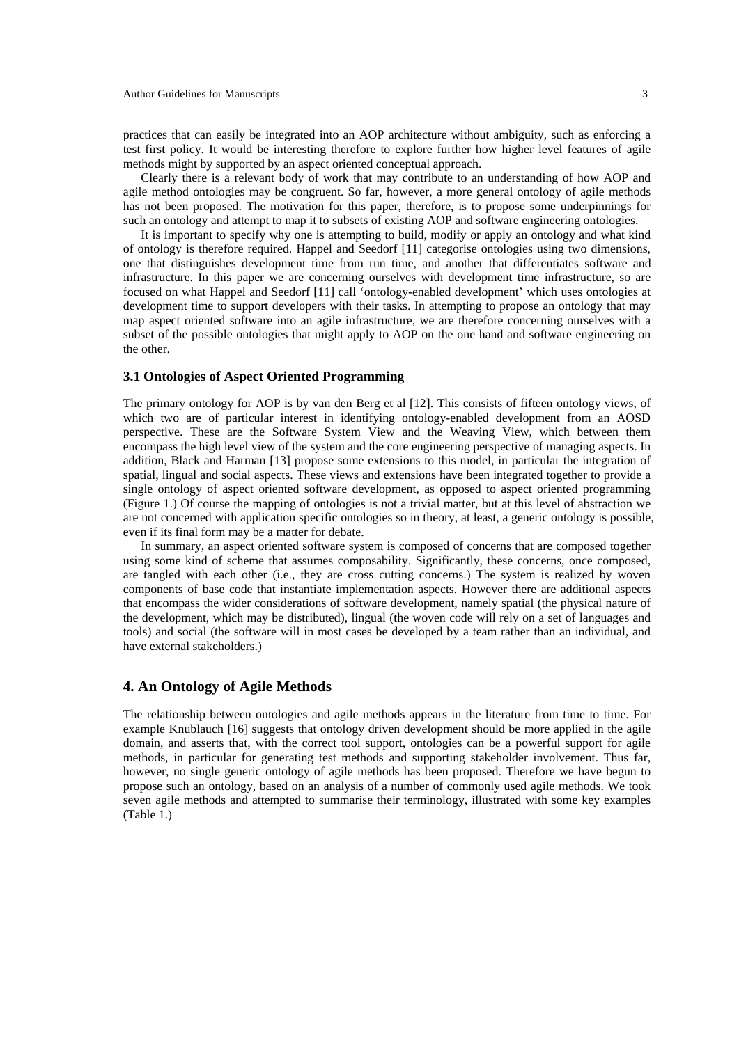practices that can easily be integrated into an AOP architecture without ambiguity, such as enforcing a test first policy. It would be interesting therefore to explore further how higher level features of agile methods might by supported by an aspect oriented conceptual approach.

Clearly there is a relevant body of work that may contribute to an understanding of how AOP and agile method ontologies may be congruent. So far, however, a more general ontology of agile methods has not been proposed. The motivation for this paper, therefore, is to propose some underpinnings for such an ontology and attempt to map it to subsets of existing AOP and software engineering ontologies.

It is important to specify why one is attempting to build, modify or apply an ontology and what kind of ontology is therefore required. Happel and Seedorf [11] categorise ontologies using two dimensions, one that distinguishes development time from run time, and another that differentiates software and infrastructure. In this paper we are concerning ourselves with development time infrastructure, so are focused on what Happel and Seedorf [11] call 'ontology-enabled development' which uses ontologies at development time to support developers with their tasks. In attempting to propose an ontology that may map aspect oriented software into an agile infrastructure, we are therefore concerning ourselves with a subset of the possible ontologies that might apply to AOP on the one hand and software engineering on the other.

#### **3.1 Ontologies of Aspect Oriented Programming**

The primary ontology for AOP is by van den Berg et al [12]. This consists of fifteen ontology views, of which two are of particular interest in identifying ontology-enabled development from an AOSD perspective. These are the Software System View and the Weaving View, which between them encompass the high level view of the system and the core engineering perspective of managing aspects. In addition, Black and Harman [13] propose some extensions to this model, in particular the integration of spatial, lingual and social aspects. These views and extensions have been integrated together to provide a single ontology of aspect oriented software development, as opposed to aspect oriented programming (Figure 1.) Of course the mapping of ontologies is not a trivial matter, but at this level of abstraction we are not concerned with application specific ontologies so in theory, at least, a generic ontology is possible, even if its final form may be a matter for debate.

In summary, an aspect oriented software system is composed of concerns that are composed together using some kind of scheme that assumes composability. Significantly, these concerns, once composed, are tangled with each other (i.e., they are cross cutting concerns.) The system is realized by woven components of base code that instantiate implementation aspects. However there are additional aspects that encompass the wider considerations of software development, namely spatial (the physical nature of the development, which may be distributed), lingual (the woven code will rely on a set of languages and tools) and social (the software will in most cases be developed by a team rather than an individual, and have external stakeholders.)

# **4. An Ontology of Agile Methods**

The relationship between ontologies and agile methods appears in the literature from time to time. For example Knublauch [16] suggests that ontology driven development should be more applied in the agile domain, and asserts that, with the correct tool support, ontologies can be a powerful support for agile methods, in particular for generating test methods and supporting stakeholder involvement. Thus far, however, no single generic ontology of agile methods has been proposed. Therefore we have begun to propose such an ontology, based on an analysis of a number of commonly used agile methods. We took seven agile methods and attempted to summarise their terminology, illustrated with some key examples (Table 1.)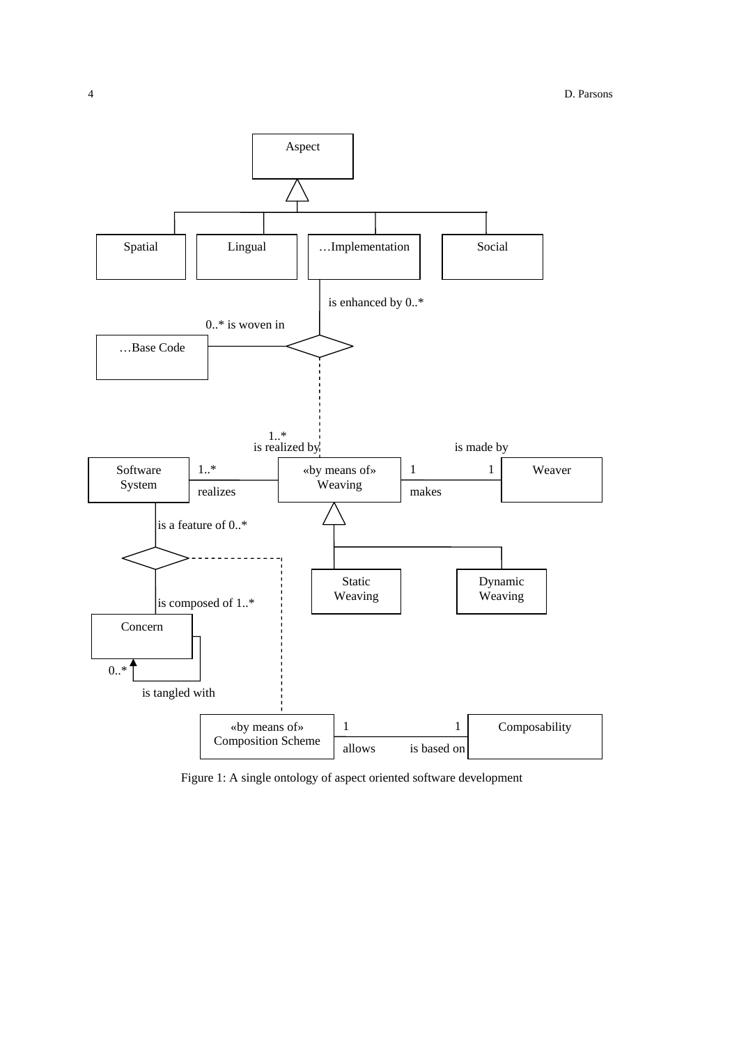

Figure 1: A single ontology of aspect oriented software development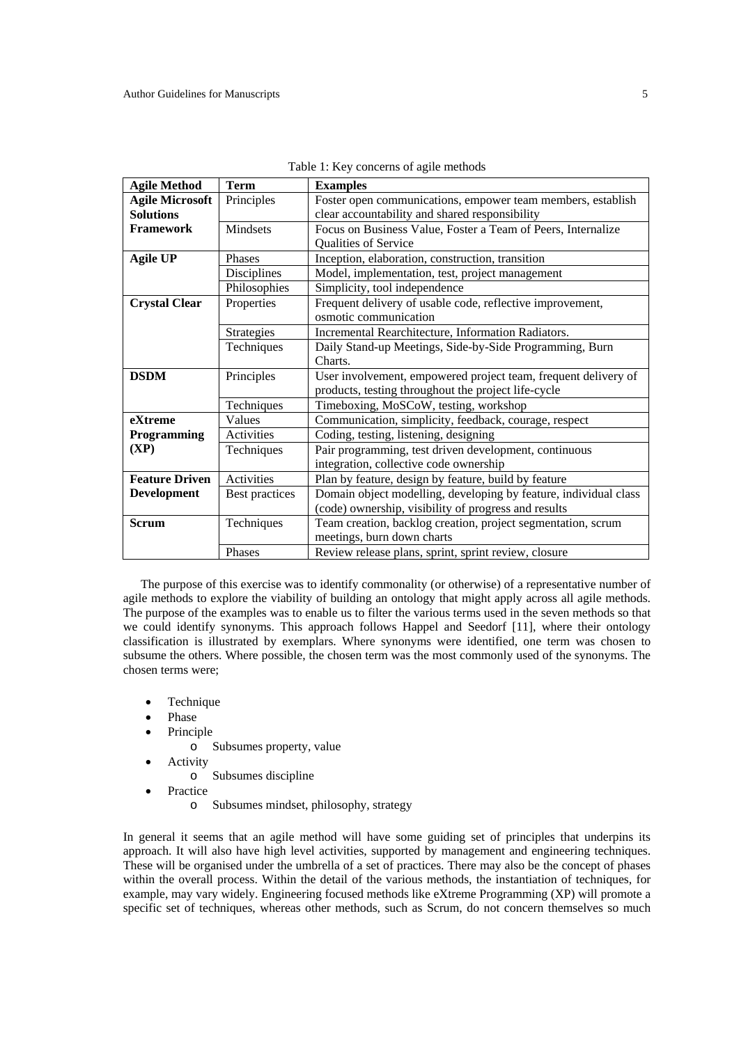| <b>Agile Method</b>    | <b>Term</b>       | <b>Examples</b>                                                  |  |  |  |
|------------------------|-------------------|------------------------------------------------------------------|--|--|--|
| <b>Agile Microsoft</b> | Principles        | Foster open communications, empower team members, establish      |  |  |  |
| <b>Solutions</b>       |                   | clear accountability and shared responsibility                   |  |  |  |
| <b>Framework</b>       | Mindsets          | Focus on Business Value, Foster a Team of Peers, Internalize     |  |  |  |
|                        |                   | Qualities of Service                                             |  |  |  |
| <b>Agile UP</b>        | Phases            | Inception, elaboration, construction, transition                 |  |  |  |
|                        | Disciplines       | Model, implementation, test, project management                  |  |  |  |
|                        | Philosophies      | Simplicity, tool independence                                    |  |  |  |
| <b>Crystal Clear</b>   | Properties        | Frequent delivery of usable code, reflective improvement,        |  |  |  |
|                        |                   | osmotic communication                                            |  |  |  |
|                        | <b>Strategies</b> | Incremental Rearchitecture, Information Radiators.               |  |  |  |
|                        | Techniques        | Daily Stand-up Meetings, Side-by-Side Programming, Burn          |  |  |  |
|                        |                   | Charts.                                                          |  |  |  |
| <b>DSDM</b>            | Principles        | User involvement, empowered project team, frequent delivery of   |  |  |  |
|                        |                   | products, testing throughout the project life-cycle              |  |  |  |
|                        | Techniques        | Timeboxing, MoSCoW, testing, workshop                            |  |  |  |
| eXtreme                | Values            | Communication, simplicity, feedback, courage, respect            |  |  |  |
| Programming            | Activities        | Coding, testing, listening, designing                            |  |  |  |
| (XP)                   | Techniques        | Pair programming, test driven development, continuous            |  |  |  |
|                        |                   | integration, collective code ownership                           |  |  |  |
| <b>Feature Driven</b>  | <b>Activities</b> | Plan by feature, design by feature, build by feature             |  |  |  |
| <b>Development</b>     | Best practices    | Domain object modelling, developing by feature, individual class |  |  |  |
|                        |                   | (code) ownership, visibility of progress and results             |  |  |  |
| <b>Scrum</b>           | Techniques        | Team creation, backlog creation, project segmentation, scrum     |  |  |  |
|                        |                   | meetings, burn down charts                                       |  |  |  |
|                        | Phases            | Review release plans, sprint, sprint review, closure             |  |  |  |

|  | Table 1: Key concerns of agile methods |
|--|----------------------------------------|
|  |                                        |

The purpose of this exercise was to identify commonality (or otherwise) of a representative number of agile methods to explore the viability of building an ontology that might apply across all agile methods. The purpose of the examples was to enable us to filter the various terms used in the seven methods so that we could identify synonyms. This approach follows Happel and Seedorf [11], where their ontology classification is illustrated by exemplars. Where synonyms were identified, one term was chosen to subsume the others. Where possible, the chosen term was the most commonly used of the synonyms. The chosen terms were;

- **Technique**
- Phase
- **Principle** 
	- o Subsumes property, value
- **Activity** 
	- o Subsumes discipline
- **Practice** 
	- o Subsumes mindset, philosophy, strategy

In general it seems that an agile method will have some guiding set of principles that underpins its approach. It will also have high level activities, supported by management and engineering techniques. These will be organised under the umbrella of a set of practices. There may also be the concept of phases within the overall process. Within the detail of the various methods, the instantiation of techniques, for example, may vary widely. Engineering focused methods like eXtreme Programming (XP) will promote a specific set of techniques, whereas other methods, such as Scrum, do not concern themselves so much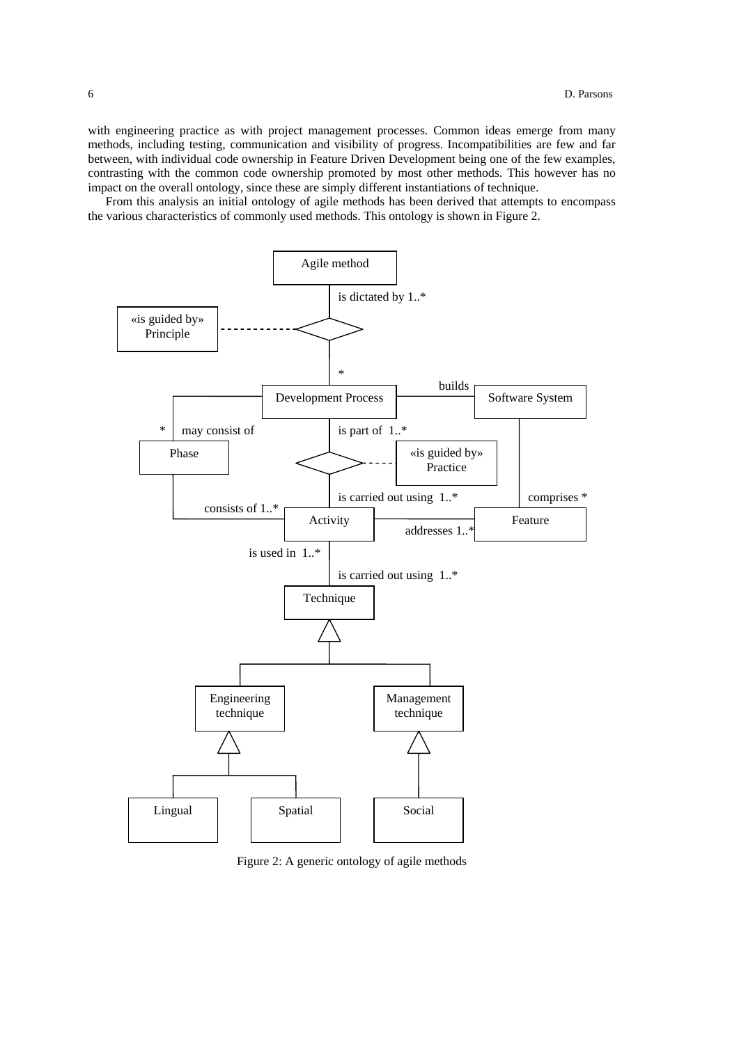with engineering practice as with project management processes. Common ideas emerge from many methods, including testing, communication and visibility of progress. Incompatibilities are few and far between, with individual code ownership in Feature Driven Development being one of the few examples, contrasting with the common code ownership promoted by most other methods. This however has no impact on the overall ontology, since these are simply different instantiations of technique.

From this analysis an initial ontology of agile methods has been derived that attempts to encompass the various characteristics of commonly used methods. This ontology is shown in Figure 2.



Figure 2: A generic ontology of agile methods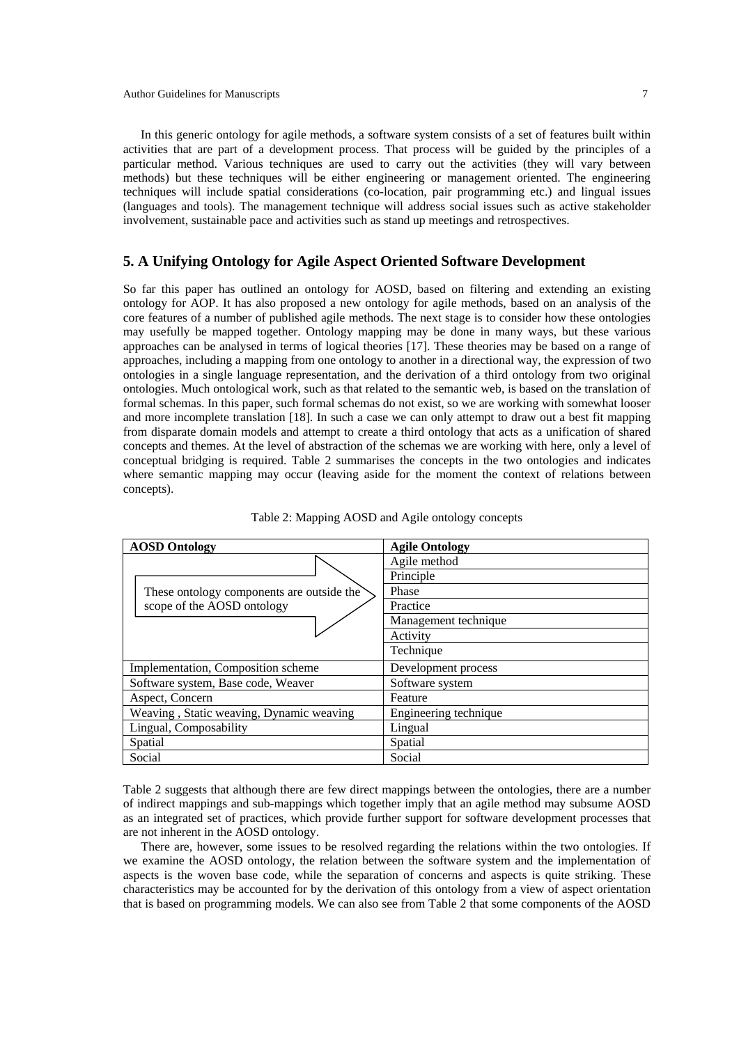In this generic ontology for agile methods, a software system consists of a set of features built within activities that are part of a development process. That process will be guided by the principles of a particular method. Various techniques are used to carry out the activities (they will vary between methods) but these techniques will be either engineering or management oriented. The engineering techniques will include spatial considerations (co-location, pair programming etc.) and lingual issues (languages and tools). The management technique will address social issues such as active stakeholder involvement, sustainable pace and activities such as stand up meetings and retrospectives.

# **5. A Unifying Ontology for Agile Aspect Oriented Software Development**

So far this paper has outlined an ontology for AOSD, based on filtering and extending an existing ontology for AOP. It has also proposed a new ontology for agile methods, based on an analysis of the core features of a number of published agile methods. The next stage is to consider how these ontologies may usefully be mapped together. Ontology mapping may be done in many ways, but these various approaches can be analysed in terms of logical theories [17]. These theories may be based on a range of approaches, including a mapping from one ontology to another in a directional way, the expression of two ontologies in a single language representation, and the derivation of a third ontology from two original ontologies. Much ontological work, such as that related to the semantic web, is based on the translation of formal schemas. In this paper, such formal schemas do not exist, so we are working with somewhat looser and more incomplete translation [18]. In such a case we can only attempt to draw out a best fit mapping from disparate domain models and attempt to create a third ontology that acts as a unification of shared concepts and themes. At the level of abstraction of the schemas we are working with here, only a level of conceptual bridging is required. Table 2 summarises the concepts in the two ontologies and indicates where semantic mapping may occur (leaving aside for the moment the context of relations between concepts).

| <b>AOSD Ontology</b>                      | <b>Agile Ontology</b> |  |
|-------------------------------------------|-----------------------|--|
|                                           | Agile method          |  |
|                                           | Principle             |  |
| These ontology components are outside the | Phase                 |  |
| scope of the AOSD ontology                | Practice              |  |
|                                           | Management technique  |  |
|                                           | Activity              |  |
|                                           | Technique             |  |
| Implementation, Composition scheme        | Development process   |  |
| Software system, Base code, Weaver        | Software system       |  |
| Aspect, Concern                           | Feature               |  |
| Weaving, Static weaving, Dynamic weaving  | Engineering technique |  |
| Lingual, Composability                    | Lingual               |  |
| Spatial                                   | Spatial               |  |
| Social                                    | Social                |  |

|  |  | Table 2: Mapping AOSD and Agile ontology concepts |
|--|--|---------------------------------------------------|
|  |  |                                                   |

Table 2 suggests that although there are few direct mappings between the ontologies, there are a number of indirect mappings and sub-mappings which together imply that an agile method may subsume AOSD as an integrated set of practices, which provide further support for software development processes that are not inherent in the AOSD ontology.

There are, however, some issues to be resolved regarding the relations within the two ontologies. If we examine the AOSD ontology, the relation between the software system and the implementation of aspects is the woven base code, while the separation of concerns and aspects is quite striking. These characteristics may be accounted for by the derivation of this ontology from a view of aspect orientation that is based on programming models. We can also see from Table 2 that some components of the AOSD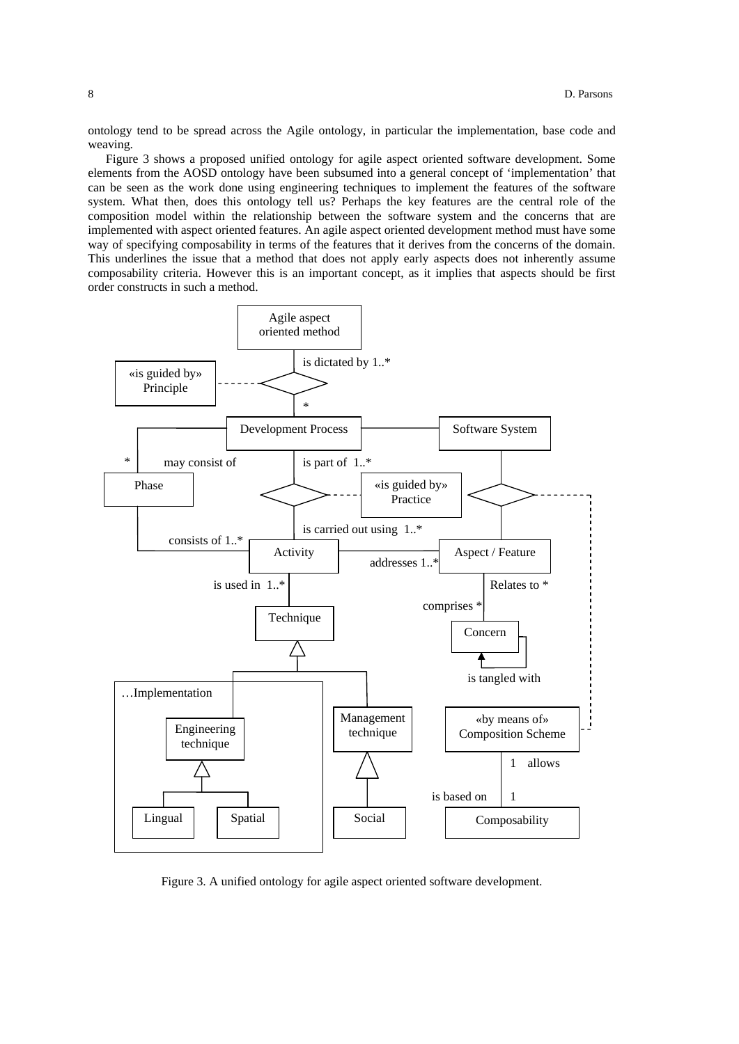ontology tend to be spread across the Agile ontology, in particular the implementation, base code and weaving.

Figure 3 shows a proposed unified ontology for agile aspect oriented software development. Some elements from the AOSD ontology have been subsumed into a general concept of 'implementation' that can be seen as the work done using engineering techniques to implement the features of the software system. What then, does this ontology tell us? Perhaps the key features are the central role of the composition model within the relationship between the software system and the concerns that are implemented with aspect oriented features. An agile aspect oriented development method must have some way of specifying composability in terms of the features that it derives from the concerns of the domain. This underlines the issue that a method that does not apply early aspects does not inherently assume composability criteria. However this is an important concept, as it implies that aspects should be first order constructs in such a method.



Figure 3. A unified ontology for agile aspect oriented software development.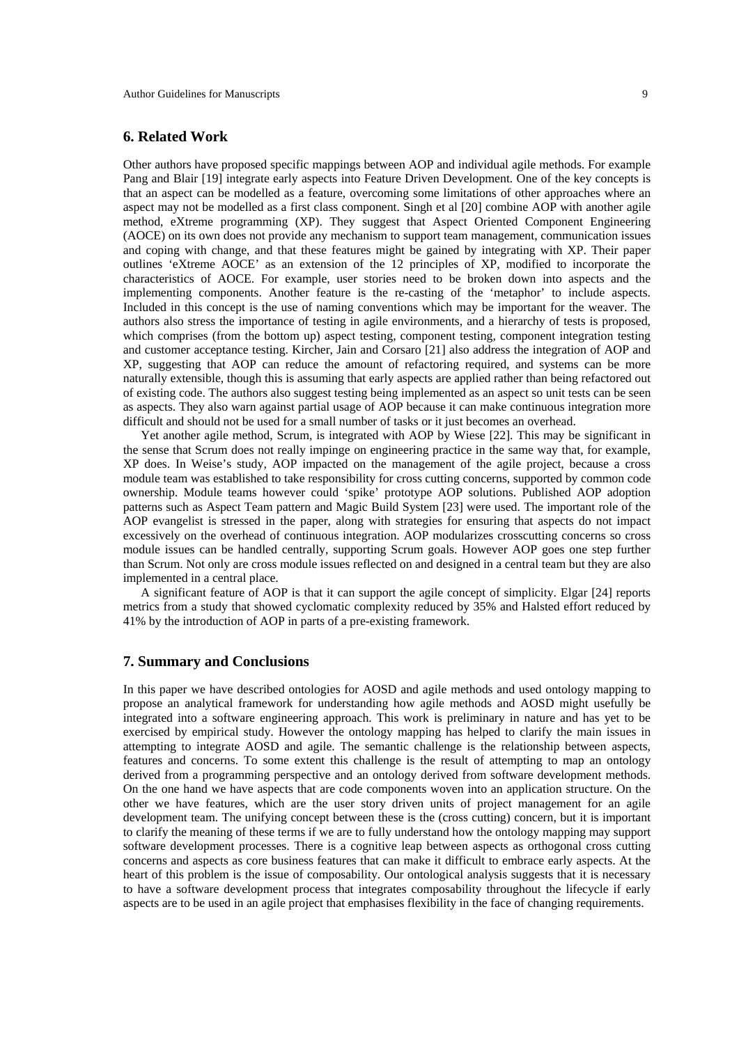## **6. Related Work**

Other authors have proposed specific mappings between AOP and individual agile methods. For example Pang and Blair [19] integrate early aspects into Feature Driven Development. One of the key concepts is that an aspect can be modelled as a feature, overcoming some limitations of other approaches where an aspect may not be modelled as a first class component. Singh et al [20] combine AOP with another agile method, eXtreme programming (XP). They suggest that Aspect Oriented Component Engineering (AOCE) on its own does not provide any mechanism to support team management, communication issues and coping with change, and that these features might be gained by integrating with XP. Their paper outlines 'eXtreme AOCE' as an extension of the 12 principles of XP, modified to incorporate the characteristics of AOCE. For example, user stories need to be broken down into aspects and the implementing components. Another feature is the re-casting of the 'metaphor' to include aspects. Included in this concept is the use of naming conventions which may be important for the weaver. The authors also stress the importance of testing in agile environments, and a hierarchy of tests is proposed, which comprises (from the bottom up) aspect testing, component testing, component integration testing and customer acceptance testing. Kircher, Jain and Corsaro [21] also address the integration of AOP and XP, suggesting that AOP can reduce the amount of refactoring required, and systems can be more naturally extensible, though this is assuming that early aspects are applied rather than being refactored out of existing code. The authors also suggest testing being implemented as an aspect so unit tests can be seen as aspects. They also warn against partial usage of AOP because it can make continuous integration more difficult and should not be used for a small number of tasks or it just becomes an overhead.

Yet another agile method, Scrum, is integrated with AOP by Wiese [22]. This may be significant in the sense that Scrum does not really impinge on engineering practice in the same way that, for example, XP does. In Weise's study, AOP impacted on the management of the agile project, because a cross module team was established to take responsibility for cross cutting concerns, supported by common code ownership. Module teams however could 'spike' prototype AOP solutions. Published AOP adoption patterns such as Aspect Team pattern and Magic Build System [23] were used. The important role of the AOP evangelist is stressed in the paper, along with strategies for ensuring that aspects do not impact excessively on the overhead of continuous integration. AOP modularizes crosscutting concerns so cross module issues can be handled centrally, supporting Scrum goals. However AOP goes one step further than Scrum. Not only are cross module issues reflected on and designed in a central team but they are also implemented in a central place.

A significant feature of AOP is that it can support the agile concept of simplicity. Elgar [24] reports metrics from a study that showed cyclomatic complexity reduced by 35% and Halsted effort reduced by 41% by the introduction of AOP in parts of a pre-existing framework.

# **7. Summary and Conclusions**

In this paper we have described ontologies for AOSD and agile methods and used ontology mapping to propose an analytical framework for understanding how agile methods and AOSD might usefully be integrated into a software engineering approach. This work is preliminary in nature and has yet to be exercised by empirical study. However the ontology mapping has helped to clarify the main issues in attempting to integrate AOSD and agile. The semantic challenge is the relationship between aspects, features and concerns. To some extent this challenge is the result of attempting to map an ontology derived from a programming perspective and an ontology derived from software development methods. On the one hand we have aspects that are code components woven into an application structure. On the other we have features, which are the user story driven units of project management for an agile development team. The unifying concept between these is the (cross cutting) concern, but it is important to clarify the meaning of these terms if we are to fully understand how the ontology mapping may support software development processes. There is a cognitive leap between aspects as orthogonal cross cutting concerns and aspects as core business features that can make it difficult to embrace early aspects. At the heart of this problem is the issue of composability. Our ontological analysis suggests that it is necessary to have a software development process that integrates composability throughout the lifecycle if early aspects are to be used in an agile project that emphasises flexibility in the face of changing requirements.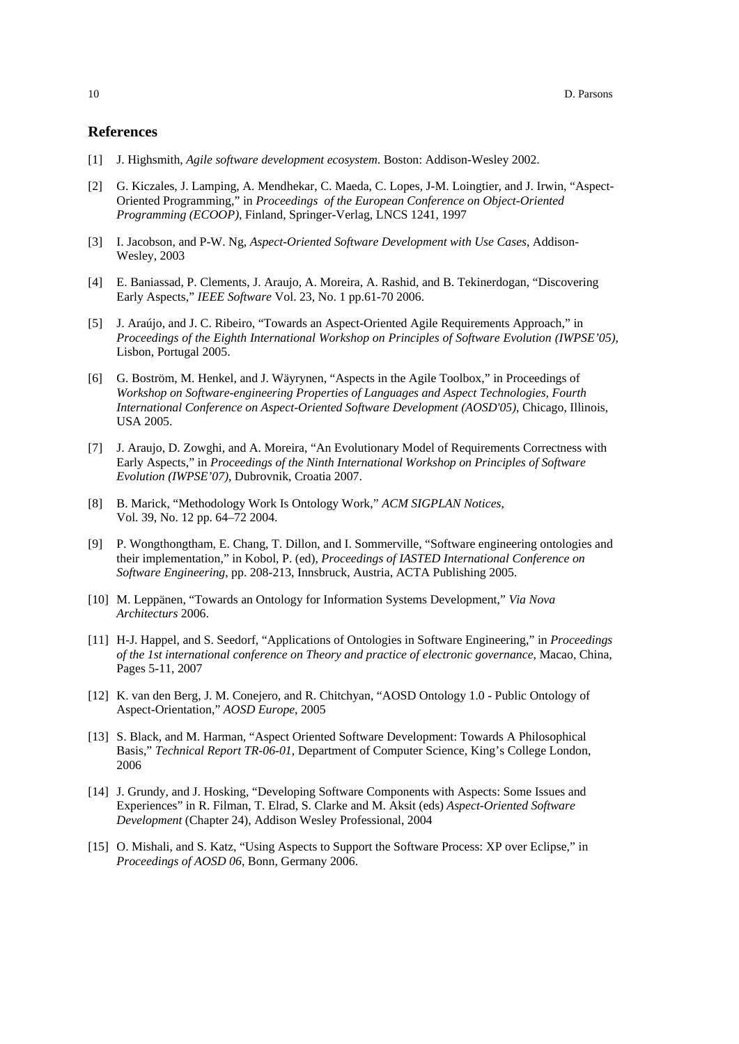#### **References**

- [1] J. Highsmith, *Agile software development ecosystem*. Boston: Addison-Wesley 2002.
- [2] G. Kiczales, J. Lamping, A. Mendhekar, C. Maeda, C. Lopes, J-M. Loingtier, and J. Irwin, "Aspect-Oriented Programming," in *Proceedings of the European Conference on Object-Oriented Programming (ECOOP)*, Finland, Springer-Verlag, LNCS 1241, 1997
- [3] I. Jacobson, and P-W. Ng, *Aspect-Oriented Software Development with Use Cases*, Addison-Wesley, 2003
- [4] E. Baniassad, P. Clements, J. Araujo, A. Moreira, A. Rashid, and B. Tekinerdogan, "Discovering Early Aspects," *IEEE Software* Vol. 23, No. 1 pp.61-70 2006.
- [5] J. Araújo, and J. C. Ribeiro, "Towards an Aspect-Oriented Agile Requirements Approach," in *Proceedings of the Eighth International Workshop on Principles of Software Evolution (IWPSE'05)*, Lisbon, Portugal 2005.
- [6] G. Boström, M. Henkel, and J. Wäyrynen, "Aspects in the Agile Toolbox," in Proceedings of *Workshop on Software-engineering Properties of Languages and Aspect Technologies, Fourth International Conference on Aspect-Oriented Software Development (AOSD'05)*, Chicago, Illinois, USA 2005.
- [7] J. Araujo, D. Zowghi, and A. Moreira, "An Evolutionary Model of Requirements Correctness with Early Aspects," in *Proceedings of the Ninth International Workshop on Principles of Software Evolution (IWPSE'07)*, Dubrovnik, Croatia 2007.
- [8] B. Marick, "Methodology Work Is Ontology Work," *ACM SIGPLAN Notices*, Vol. 39, No. 12 pp. 64–72 2004.
- [9] P. Wongthongtham, E. Chang, T. Dillon, and I. Sommerville, "Software engineering ontologies and their implementation," in Kobol, P. (ed), *Proceedings of IASTED International Conference on Software Engineering*, pp. 208-213, Innsbruck, Austria, ACTA Publishing 2005.
- [10] M. Leppänen, "Towards an Ontology for Information Systems Development," *Via Nova Architecturs* 2006.
- [11] H-J. Happel, and S. Seedorf, "Applications of Ontologies in Software Engineering," in *Proceedings of the 1st international conference on Theory and practice of electronic governance*, Macao, China, Pages 5-11, 2007
- [12] K. van den Berg, J. M. Conejero, and R. Chitchyan, "AOSD Ontology 1.0 Public Ontology of Aspect-Orientation," *AOSD Europe*, 2005
- [13] S. Black, and M. Harman, "Aspect Oriented Software Development: Towards A Philosophical Basis," *Technical Report TR-06-01*, Department of Computer Science, King's College London, 2006
- [14] J. Grundy, and J. Hosking, "Developing Software Components with Aspects: Some Issues and Experiences" in R. Filman, T. Elrad, S. Clarke and M. Aksit (eds) *Aspect-Oriented Software Development* (Chapter 24), Addison Wesley Professional, 2004
- [15] O. Mishali, and S. Katz, "Using Aspects to Support the Software Process: XP over Eclipse," in *Proceedings of AOSD 06*, Bonn, Germany 2006.